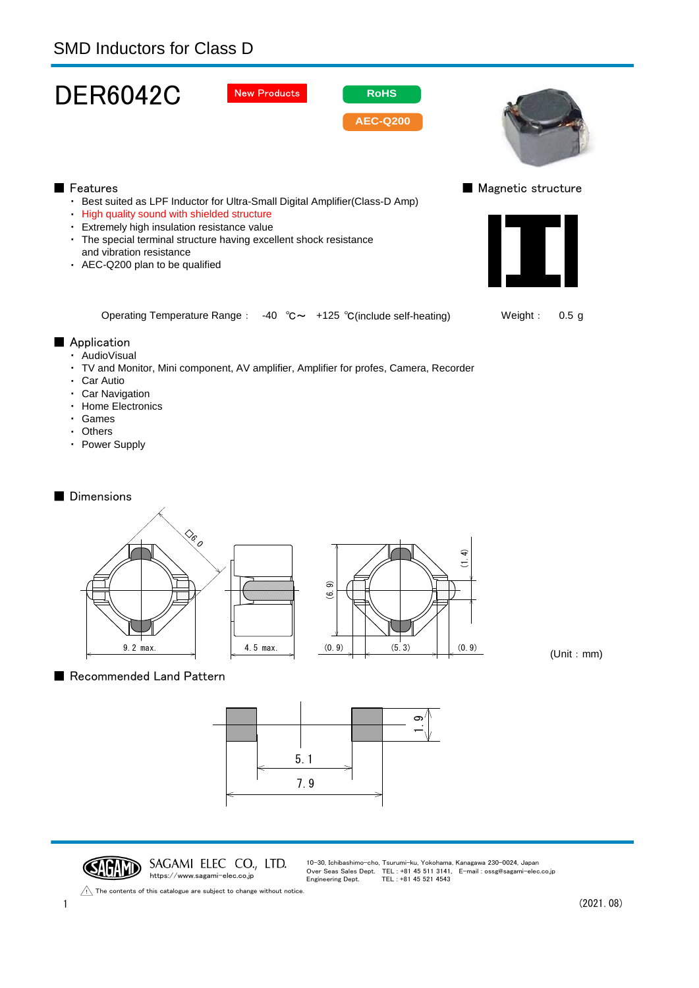| <b>SMD Inductors for Class D</b>                                                                                                                                                                                                                                                                                            |                                                |
|-----------------------------------------------------------------------------------------------------------------------------------------------------------------------------------------------------------------------------------------------------------------------------------------------------------------------------|------------------------------------------------|
| <b>DER6042C</b><br><b>New Products</b><br><b>RoHS</b><br><b>AEC-Q200</b>                                                                                                                                                                                                                                                    |                                                |
| Features<br>• Best suited as LPF Inductor for Ultra-Small Digital Amplifier(Class-D Amp)<br>High quality sound with shielded structure<br>· Extremely high insulation resistance value<br>• The special terminal structure having excellent shock resistance<br>and vibration resistance<br>• AEC-Q200 plan to be qualified | Magnetic structure<br>$\overline{\phantom{a}}$ |
| Operating Temperature Range : -40 $^{\circ}$ C $\sim$ +125 $^{\circ}$ C(include self-heating)<br>Application<br>· AudioVisual<br>· TV and Monitor, Mini component, AV amplifier, Amplifier for profes, Camera, Recorder<br>· Car Autio<br>· Car Navigation<br>• Home Electronics<br>· Games<br>• Others<br>• Power Supply   | Weight:<br>0.5 <sub>g</sub>                    |
| <b>Dimensions</b><br>$\diamondsuit_{\!\scriptscriptstyle\mathscr{E}_{\scriptscriptstyle\mathscr{O}}}$<br>(1.4)<br>$\widehat{\infty}$<br>$\tilde{\mathbf{e}}$<br>9.2 max.<br>(0.9)<br>(5.3)<br>(0.9)<br>4.5 max.                                                                                                             |                                                |

(Unit:mm)

■ Recommended Land Pattern



**SAGAMI ELEC CO., LTD.**<br>https://www.sagami-elec.co.jp

9.2 max. 1.4.5 max.

10-30, Ichibashimo-cho, Tsurumi-ku, Yokohama, Kanagawa 230-0024, Japan Over Seas Sales Dept. TEL : +81 45 511 3141, E-mail : ossg@sagami-elec.co.jp Engineering Dept. TEL : +81 45 521 4543

(5.3)

The contents of this catalogue are subject to change without notice.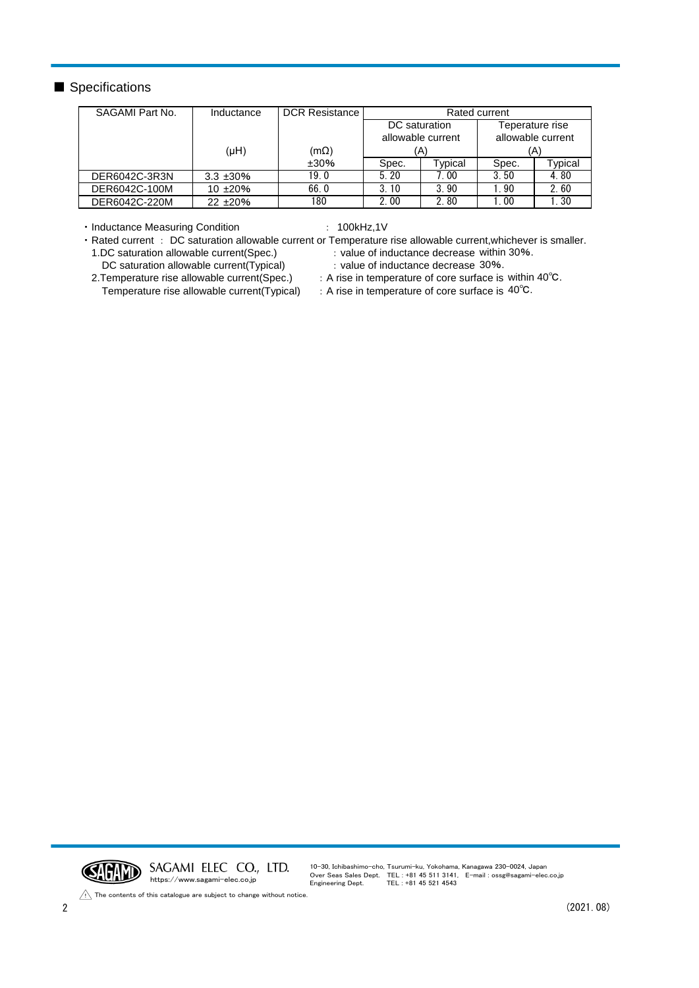## ■ Specifications

| SAGAMI Part No. | Inductance     | <b>DCR Resistance</b> | Rated current     |               |                   |         |
|-----------------|----------------|-----------------------|-------------------|---------------|-------------------|---------|
|                 |                |                       | DC saturation     |               | Teperature rise   |         |
|                 |                |                       | allowable current |               | allowable current |         |
|                 | $(\mu H)$      | $(m\Omega)$           | (A)               |               | (A)               |         |
|                 |                | ±30%                  | Spec.             | $\tau$ ypical | Spec.             | Typical |
| DER6042C-3R3N   | $3.3 \pm 30\%$ | 19.0                  | 5.20              | 7.00          | 3.50              | 4.80    |
| DER6042C-100M   | $10 + 20%$     | 66.0                  | 3.10              | 3.90          | l. 90             | 2.60    |
| DER6042C-220M   | $22 + 20%$     | 180                   | 2.00              | 2.80          | l. 00             | 1.30    |

・Inductance Measuring Condition : 100kHz,1V

・Rated current : DC saturation allowable current or Temperature rise allowable current,whichever is smaller. 1.DC saturation allowable current(Spec.) DC saturation allowable current(Typical) : value of inductance decrease within 30%. : value of inductance decrease 30%.

- 2.Temperature rise allowable current(Spec.)
- 
- : A rise in temperature of core surface is within 40℃.
- Temperature rise allowable current(Typical)
- : A rise in temperature of core surface is 40°C.



10-30, Ichibashimo-cho, Tsurumi-ku, Yokohama, Kanagawa 230-0024, Japan Over Seas Sales Dept. TEL : +81 45 511 3141, E-mail : ossg@sagami-elec.co.jp Engineering Dept. TEL : +81 45 521 4543